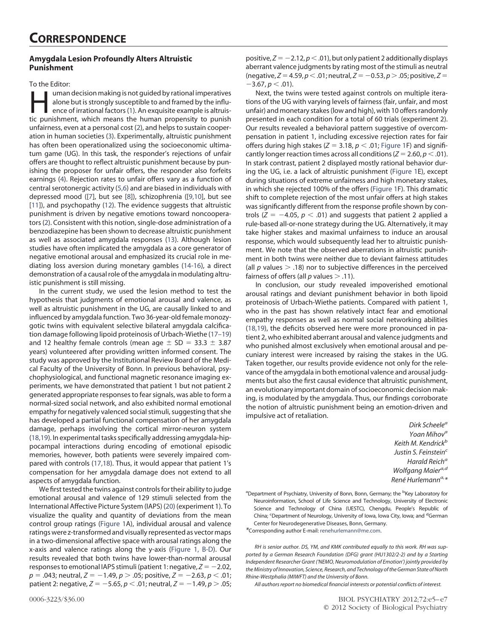## **Amygdala Lesion Profoundly Alters Altruistic Punishment**

To the Editor:

Iman decision making is not guided by rational imperatives<br>alone but is strongly susceptible to and framed by the influ-<br>ence of irrational factors (1). An exquisite example is altruis-<br>tic punishment, which means the huma alone but is strongly susceptible to and framed by the influence of irrational factors (1). An exquisite example is altruistic punishment, which means the human propensity to punish unfairness, even at a personal cost [\(2\)](#page-1-1), and helps to sustain cooperation in human societies [\(3\)](#page-1-2). Experimentally, altruistic punishment has often been operationalized using the socioeconomic ultimatum game (UG). In this task, the responder's rejections of unfair offers are thought to reflect altruistic punishment because by punishing the proposer for unfair offers, the responder also forfeits earnings [\(4\)](#page-1-3). Rejection rates to unfair offers vary as a function of central serotonergic activity [\(5,6\)](#page-2-0) and are biased in individuals with depressed mood ([\[7\]](#page-2-1), but see [\[8\]](#page-2-2)), schizophrenia ([\[9,10\]](#page-2-3), but see [\[11\]](#page-2-4)), and psychopathy [\(12\)](#page-2-5). The evidence suggests that altruistic punishment is driven by negative emotions toward noncooperators [\(2\)](#page-1-1). Consistent with this notion, single-dose administration of a benzodiazepine has been shown to decrease altruistic punishment as well as associated amygdala responses [\(13\)](#page-2-6). Although lesion studies have often implicated the amygdala as a core generator of negative emotional arousal and emphasized its crucial role in mediating loss aversion during monetary gambles [\(14-16\)](#page-2-7), a direct demonstration of a causal role of the amygdala in modulating altruistic punishment is still missing.

In the current study, we used the lesion method to test the hypothesis that judgments of emotional arousal and valence, as well as altruistic punishment in the UG, are causally linked to and influenced by amygdala function. Two 36-year-old female monozygotic twins with equivalent selective bilateral amygdala calcification damage following lipoid proteinosis of Urbach-Wiethe [\(17–19\)](#page-2-8) and 12 healthy female controls (mean age  $\pm$  SD = 33.3  $\pm$  3.87 years) volunteered after providing written informed consent. The study was approved by the Institutional Review Board of the Medical Faculty of the University of Bonn. In previous behavioral, psychophysiological, and functional magnetic resonance imaging experiments, we have demonstrated that patient 1 but not patient 2 generated appropriate responses to fear signals, was able to form a normal-sized social network, and also exhibited normal emotional empathy for negatively valenced social stimuli, suggesting that she has developed a partial functional compensation of her amygdala damage, perhaps involving the cortical mirror-neuron system [\(18,19\)](#page-2-9). In experimental tasks specifically addressing amygdala-hippocampal interactions during encoding of emotional episodic memories, however, both patients were severely impaired compared with controls [\(17,18\)](#page-2-8). Thus, it would appear that patient 1's compensation for her amygdala damage does not extend to all aspects of amygdala function.

We first tested the twins against controls for their ability to judge emotional arousal and valence of 129 stimuli selected from the International Affective Picture System (IAPS) [\(20\)](#page-2-10) (experiment 1). To visualize the quality and quantity of deviations from the mean control group ratings [\(Figure 1A](#page-1-4)), individual arousal and valence ratings were z-transformed and visually represented as vector maps in a two-dimensional affective space with arousal ratings along the x-axis and valence ratings along the y-axis [\(Figure 1, B-D\)](#page-1-4). Our results revealed that both twins have lower-than-normal arousal responses to emotional IAPS stimuli (patient 1: negative,  $Z = -2.02$ , *p* - .043; neutral, *Z* - 1.49, *p* .05; positive, *Z* - 2.63, *p* .01; patient 2: negative, *Z* = -5.65, *p* < .01; neutral, *Z* = -1.49, *p* > .05;

positive,  $Z = -2.12$ ,  $p < .01$ ), but only patient 2 additionally displays aberrant valence judgments by rating most of the stimuli as neutral  $(n$ egative, *Z* = 4.59, *p* < .01; neutral, *Z* = -0.53, *p* > .05; positive, *Z* =  $-3.67, p < .01$ ).

Next, the twins were tested against controls on multiple iterations of the UG with varying levels of fairness (fair, unfair, and most unfair) and monetary stakes (low and high), with 10 offers randomly presented in each condition for a total of 60 trials (experiment 2). Our results revealed a behavioral pattern suggestive of overcompensation in patient 1, including excessive rejection rates for fair offers during high stakes (*Z* = 3.18, *p*  $<$  .01; [Figure 1F](#page-1-4)) and significantly longer reaction times across all conditions (*Z* = 2.60, *p* < .01). In stark contrast, patient 2 displayed mostly rational behavior during the UG, i.e. a lack of altruistic punishment [\(Figure 1E](#page-1-4)), except during situations of extreme unfairness and high monetary stakes, in which she rejected 100% of the offers [\(Figure 1F](#page-1-4)). This dramatic shift to complete rejection of the most unfair offers at high stakes was significantly different from the response profile shown by controls ( $Z = -4.05$ ,  $p < .01$ ) and suggests that patient 2 applied a rule-based all-or-none strategy during the UG. Alternatively, it may take higher stakes and maximal unfairness to induce an arousal response, which would subsequently lead her to altruistic punishment. We note that the observed aberrations in altruistic punishment in both twins were neither due to deviant fairness attitudes (all  $p$  values  $>$  .18) nor to subjective differences in the perceived fairness of offers (all  $p$  values  $> .11$ ).

In conclusion, our study revealed impoverished emotional arousal ratings and deviant punishment behavior in both lipoid proteinosis of Urbach-Wiethe patients. Compared with patient 1, who in the past has shown relatively intact fear and emotional empathy responses as well as normal social networking abilities [\(18,19\)](#page-2-9), the deficits observed here were more pronounced in patient 2, who exhibited aberrant arousal and valence judgments and who punished almost exclusively when emotional arousal and pecuniary interest were increased by raising the stakes in the UG. Taken together, our results provide evidence not only for the relevance of the amygdala in both emotional valence and arousal judgments but also the first causal evidence that altruistic punishment, an evolutionary important domain of socioeconomic decision making, is modulated by the amygdala. Thus, our findings corroborate the notion of altruistic punishment being an emotion-driven and impulsive act of retaliation.

> *Dirk Scheelea Yoan Mihova Keith M. Kendrickb* Justin S. Feinstein<sup>c</sup> *Harald Reicha Wolfgang Maiera,d René Hurlemanna,\**

<sup>a</sup>Department of Psychiatry, University of Bonn, Bonn, Germany; the <sup>b</sup>Key Laboratory for Neuroinformation, School of Life Science and Technology, University of Electronic Science and Technology of China (UESTC), Chengdu, People's Republic of China; <sup>c</sup>Department of Neurology, University of Iowa, Iowa City, Iowa; and <sup>d</sup>German Center for Neurodegenerative Diseases, Bonn, Germany.

*\**Corresponding author E-mail: [renehurlemann@me.com.](mailto:renehurlemann@me.com)

*RH is senior author. DS, YM, and KMK contributed equally to this work. RH was supported by a German Research Foundation (DFG) grant (HU1302/2-2) and by a Starting Independent Researcher Grant ('NEMO, Neuromodulation of Emotion') jointly provided by the Ministry of Innovation, Science, Research, and Technology of the German State of North Rhine-Westphalia (MIWFT) and the University of Bonn.*

*All authors report no biomedical financial interests or potential conflicts of interest.*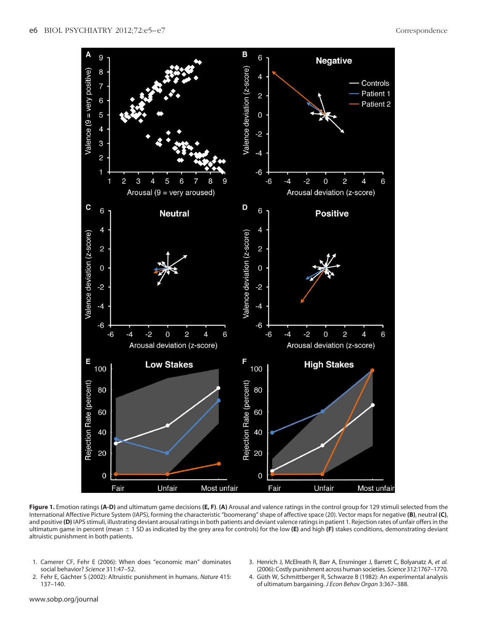

<span id="page-1-4"></span>**Figure 1.** Emotion ratings **(A-D)** and ultimatum game decisions **(E, F)**. **(A)** Arousal and valence ratings in the control group for 129 stimuli selected from the International Affective Picture System (IAPS), forming the characteristic "boomerang" shape of affective space (20). Vector maps for negative **(B)**, neutral **(C)**, and positive **(D)** IAPS stimuli, illustrating deviant arousal ratings in both patients and deviant valence ratings in patient 1. Rejection rates of unfair offers in the ultimatum game in percent (mean 1 SD as indicated by the grey area for controls) for the low **(E)** and high **(F)** stakes conditions, demonstrating deviant altruistic punishment in both patients.

- <span id="page-1-1"></span><span id="page-1-0"></span>1. Camerer CF, Fehr E (2006): When does "economic man" dominates social behavior? *Science* 311:47–52.
- <span id="page-1-3"></span><span id="page-1-2"></span>3. Henrich J, McElreath R, Barr A, Ensminger J, Barrett C, Bolyanatz A, *et al.* (2006): Costly punishment across human societies. *Science* 312:1767–1770.
- 2. Fehr E, Gächter S (2002): Altruistic punishment in humans. *Nature* 415: 137–140.
- 4. Güth W, Schmittberger R, Schwarze B (1982): An experimental analysis of ultimatum bargaining. *J Econ Behav Organ* 3:367–388.